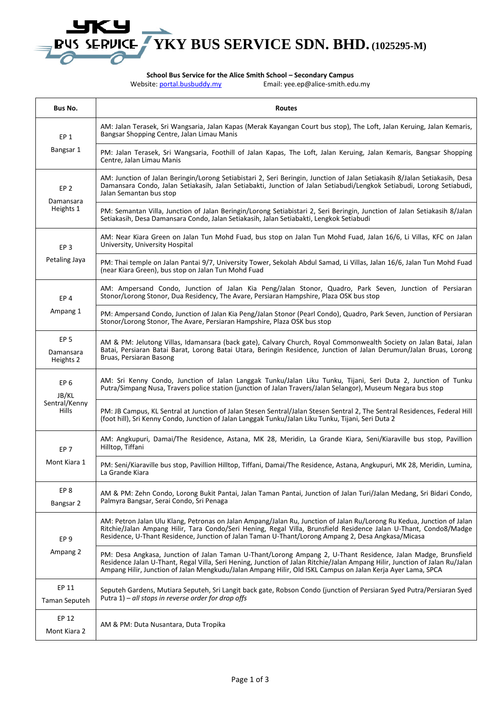

**School Bus Service for the Alice Smith School – Secondary Campus**

Website:<portal.busbuddy.my> Email: yee.ep@alice-smith.edu.my

| Bus No.                                                   | <b>Routes</b>                                                                                                                                                                                                                                                                                                                                               |
|-----------------------------------------------------------|-------------------------------------------------------------------------------------------------------------------------------------------------------------------------------------------------------------------------------------------------------------------------------------------------------------------------------------------------------------|
| EP <sub>1</sub><br>Bangsar 1                              | AM: Jalan Terasek, Sri Wangsaria, Jalan Kapas (Merak Kayangan Court bus stop), The Loft, Jalan Keruing, Jalan Kemaris,<br>Bangsar Shopping Centre, Jalan Limau Manis                                                                                                                                                                                        |
|                                                           | PM: Jalan Terasek, Sri Wangsaria, Foothill of Jalan Kapas, The Loft, Jalan Keruing, Jalan Kemaris, Bangsar Shopping<br>Centre, Jalan Limau Manis                                                                                                                                                                                                            |
| EP <sub>2</sub><br>Damansara<br>Heights 1                 | AM: Junction of Jalan Beringin/Lorong Setiabistari 2, Seri Beringin, Junction of Jalan Setiakasih 8/Jalan Setiakasih, Desa<br>Damansara Condo, Jalan Setiakasih, Jalan Setiabakti, Junction of Jalan Setiabudi/Lengkok Setiabudi, Lorong Setiabudi,<br>Jalan Semantan bus stop                                                                              |
|                                                           | PM: Semantan Villa, Junction of Jalan Beringin/Lorong Setiabistari 2, Seri Beringin, Junction of Jalan Setiakasih 8/Jalan<br>Setiakasih, Desa Damansara Condo, Jalan Setiakasih, Jalan Setiabakti, Lengkok Setiabudi                                                                                                                                        |
| EP <sub>3</sub><br>Petaling Jaya                          | AM: Near Kiara Green on Jalan Tun Mohd Fuad, bus stop on Jalan Tun Mohd Fuad, Jalan 16/6, Li Villas, KFC on Jalan<br>University, University Hospital                                                                                                                                                                                                        |
|                                                           | PM: Thai temple on Jalan Pantai 9/7, University Tower, Sekolah Abdul Samad, Li Villas, Jalan 16/6, Jalan Tun Mohd Fuad<br>(near Kiara Green), bus stop on Jalan Tun Mohd Fuad                                                                                                                                                                               |
| EP <sub>4</sub><br>Ampang 1                               | AM: Ampersand Condo, Junction of Jalan Kia Peng/Jalan Stonor, Quadro, Park Seven, Junction of Persiaran<br>Stonor/Lorong Stonor, Dua Residency, The Avare, Persiaran Hampshire, Plaza OSK bus stop                                                                                                                                                          |
|                                                           | PM: Ampersand Condo, Junction of Jalan Kia Peng/Jalan Stonor (Pearl Condo), Quadro, Park Seven, Junction of Persiaran<br>Stonor/Lorong Stonor, The Avare, Persiaran Hampshire, Plaza OSK bus stop                                                                                                                                                           |
| EP <sub>5</sub><br>Damansara<br>Heights 2                 | AM & PM: Jelutong Villas, Idamansara (back gate), Calvary Church, Royal Commonwealth Society on Jalan Batai, Jalan<br>Batai, Persiaran Batai Barat, Lorong Batai Utara, Beringin Residence, Junction of Jalan Derumun/Jalan Bruas, Lorong<br>Bruas, Persiaran Basong                                                                                        |
| EP <sub>6</sub><br>JB/KL<br>Sentral/Kenny<br><b>Hills</b> | AM: Sri Kenny Condo, Junction of Jalan Langgak Tunku/Jalan Liku Tunku, Tijani, Seri Duta 2, Junction of Tunku<br>Putra/Simpang Nusa, Travers police station (junction of Jalan Travers/Jalan Selangor), Museum Negara bus stop                                                                                                                              |
|                                                           | PM: JB Campus, KL Sentral at Junction of Jalan Stesen Sentral/Jalan Stesen Sentral 2, The Sentral Residences, Federal Hill<br>(foot hill), Sri Kenny Condo, Junction of Jalan Langgak Tunku/Jalan Liku Tunku, Tijani, Seri Duta 2                                                                                                                           |
| EP <sub>7</sub><br>Mont Kiara 1                           | AM: Angkupuri, Damai/The Residence, Astana, MK 28, Meridin, La Grande Kiara, Seni/Kiaraville bus stop, Pavillion<br>Hilltop, Tiffani                                                                                                                                                                                                                        |
|                                                           | PM: Seni/Kiaraville bus stop, Pavillion Hilltop, Tiffani, Damai/The Residence, Astana, Angkupuri, MK 28, Meridin, Lumina,<br>La Grande Kiara                                                                                                                                                                                                                |
| EP <sub>8</sub><br>Bangsar 2                              | AM & PM: Zehn Condo, Lorong Bukit Pantai, Jalan Taman Pantai, Junction of Jalan Turi/Jalan Medang, Sri Bidari Condo,<br>Palmyra Bangsar, Serai Condo, Sri Penaga                                                                                                                                                                                            |
| EP <sub>9</sub><br>Ampang 2                               | AM: Petron Jalan Ulu Klang, Petronas on Jalan Ampang/Jalan Ru, Junction of Jalan Ru/Lorong Ru Kedua, Junction of Jalan<br>Ritchie/Jalan Ampang Hilir, Tara Condo/Seri Hening, Regal Villa, Brunsfield Residence Jalan U-Thant, Condo8/Madge<br>Residence, U-Thant Residence, Junction of Jalan Taman U-Thant/Lorong Ampang 2, Desa Angkasa/Micasa           |
|                                                           | PM: Desa Angkasa, Junction of Jalan Taman U-Thant/Lorong Ampang 2, U-Thant Residence, Jalan Madge, Brunsfield<br>Residence Jalan U-Thant, Regal Villa, Seri Hening, Junction of Jalan Ritchie/Jalan Ampang Hilir, Junction of Jalan Ru/Jalan<br>Ampang Hilir, Junction of Jalan Mengkudu/Jalan Ampang Hilir, Old ISKL Campus on Jalan Kerja Ayer Lama, SPCA |
| EP 11<br>Taman Seputeh                                    | Seputeh Gardens, Mutiara Seputeh, Sri Langit back gate, Robson Condo (junction of Persiaran Syed Putra/Persiaran Syed<br>Putra $1$ ) – all stops in reverse order for drop offs                                                                                                                                                                             |
| EP 12<br>Mont Kiara 2                                     | AM & PM: Duta Nusantara, Duta Tropika                                                                                                                                                                                                                                                                                                                       |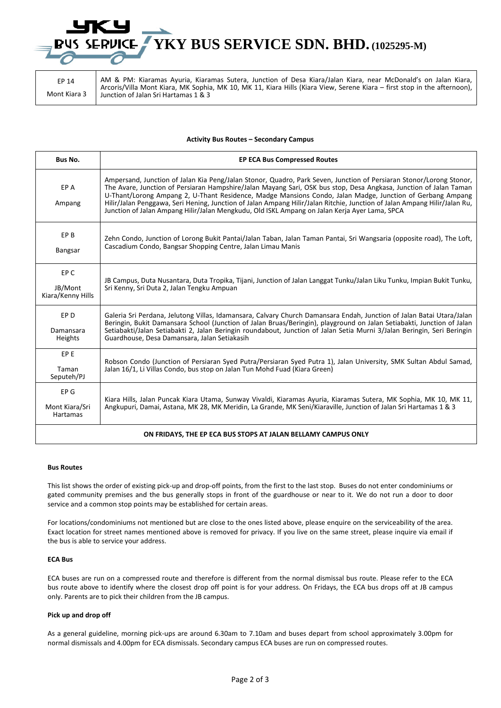## **YKY BUS SERVICE SDN. BHD. (1025295-M)**

EP 14 Mont Kiara 3 AM & PM: Kiaramas Ayuria, Kiaramas Sutera, Junction of Desa Kiara/Jalan Kiara, near McDonald's on Jalan Kiara, Arcoris/Villa Mont Kiara, MK Sophia, MK 10, MK 11, Kiara Hills (Kiara View, Serene Kiara – first stop in the afternoon), Junction of Jalan Sri Hartamas 1 & 3

#### **Activity Bus Routes – Secondary Campus**

| Bus No.                                                       | <b>EP ECA Bus Compressed Routes</b>                                                                                                                                                                                                                                                                                                                                                                                                                                                                                                                                                 |  |
|---------------------------------------------------------------|-------------------------------------------------------------------------------------------------------------------------------------------------------------------------------------------------------------------------------------------------------------------------------------------------------------------------------------------------------------------------------------------------------------------------------------------------------------------------------------------------------------------------------------------------------------------------------------|--|
| EP A<br>Ampang                                                | Ampersand, Junction of Jalan Kia Peng/Jalan Stonor, Quadro, Park Seven, Junction of Persiaran Stonor/Lorong Stonor,<br>The Avare, Junction of Persiaran Hampshire/Jalan Mayang Sari, OSK bus stop, Desa Angkasa, Junction of Jalan Taman<br>U-Thant/Lorong Ampang 2, U-Thant Residence, Madge Mansions Condo, Jalan Madge, Junction of Gerbang Ampang<br>Hilir/Jalan Penggawa, Seri Hening, Junction of Jalan Ampang Hilir/Jalan Ritchie, Junction of Jalan Ampang Hilir/Jalan Ru,<br>Junction of Jalan Ampang Hilir/Jalan Mengkudu, Old ISKL Ampang on Jalan Kerja Ayer Lama, SPCA |  |
| EP B<br>Bangsar                                               | Zehn Condo, Junction of Lorong Bukit Pantai/Jalan Taban, Jalan Taman Pantai, Sri Wangsaria (opposite road), The Loft,<br>Cascadium Condo, Bangsar Shopping Centre, Jalan Limau Manis                                                                                                                                                                                                                                                                                                                                                                                                |  |
| EP C<br>JB/Mont<br>Kiara/Kenny Hills                          | JB Campus, Duta Nusantara, Duta Tropika, Tijani, Junction of Jalan Langgat Tunku/Jalan Liku Tunku, Impian Bukit Tunku,<br>Sri Kenny, Sri Duta 2, Jalan Tengku Ampuan                                                                                                                                                                                                                                                                                                                                                                                                                |  |
| EP <sub>D</sub><br>Damansara<br>Heights                       | Galeria Sri Perdana, Jelutong Villas, Idamansara, Calvary Church Damansara Endah, Junction of Jalan Batai Utara/Jalan<br>Beringin, Bukit Damansara School (Junction of Jalan Bruas/Beringin), playground on Jalan Setiabakti, Junction of Jalan<br>Setiabakti/Jalan Setiabakti 2, Jalan Beringin roundabout, Junction of Jalan Setia Murni 3/Jalan Beringin, Seri Beringin<br>Guardhouse, Desa Damansara, Jalan Setiakasih                                                                                                                                                          |  |
| EP <sub>E</sub><br>Taman<br>Seputeh/PJ                        | Robson Condo (Junction of Persiaran Syed Putra/Persiaran Syed Putra 1), Jalan University, SMK Sultan Abdul Samad,<br>Jalan 16/1, Li Villas Condo, bus stop on Jalan Tun Mohd Fuad (Kiara Green)                                                                                                                                                                                                                                                                                                                                                                                     |  |
| EP G<br>Mont Kiara/Sri<br>Hartamas                            | Kiara Hills, Jalan Puncak Kiara Utama, Sunway Vivaldi, Kiaramas Ayuria, Kiaramas Sutera, MK Sophia, MK 10, MK 11,<br>Angkupuri, Damai, Astana, MK 28, MK Meridin, La Grande, MK Seni/Kiaraville, Junction of Jalan Sri Hartamas 1 & 3                                                                                                                                                                                                                                                                                                                                               |  |
| ON FRIDAYS, THE EP ECA BUS STOPS AT JALAN BELLAMY CAMPUS ONLY |                                                                                                                                                                                                                                                                                                                                                                                                                                                                                                                                                                                     |  |

**Bus Routes**

This list shows the order of existing pick-up and drop-off points, from the first to the last stop. Buses do not enter condominiums or gated community premises and the bus generally stops in front of the guardhouse or near to it. We do not run a door to door service and a common stop points may be established for certain areas.

For locations/condominiums not mentioned but are close to the ones listed above, please enquire on the serviceability of the area. Exact location for street names mentioned above is removed for privacy. If you live on the same street, please inquire via email if the bus is able to service your address.

### **ECA Bus**

ECA buses are run on a compressed route and therefore is different from the normal dismissal bus route. Please refer to the ECA bus route above to identify where the closest drop off point is for your address. On Fridays, the ECA bus drops off at JB campus only. Parents are to pick their children from the JB campus.

#### **Pick up and drop off**

As a general guideline, morning pick-ups are around 6.30am to 7.10am and buses depart from school approximately 3.00pm for normal dismissals and 4.00pm for ECA dismissals. Secondary campus ECA buses are run on compressed routes.